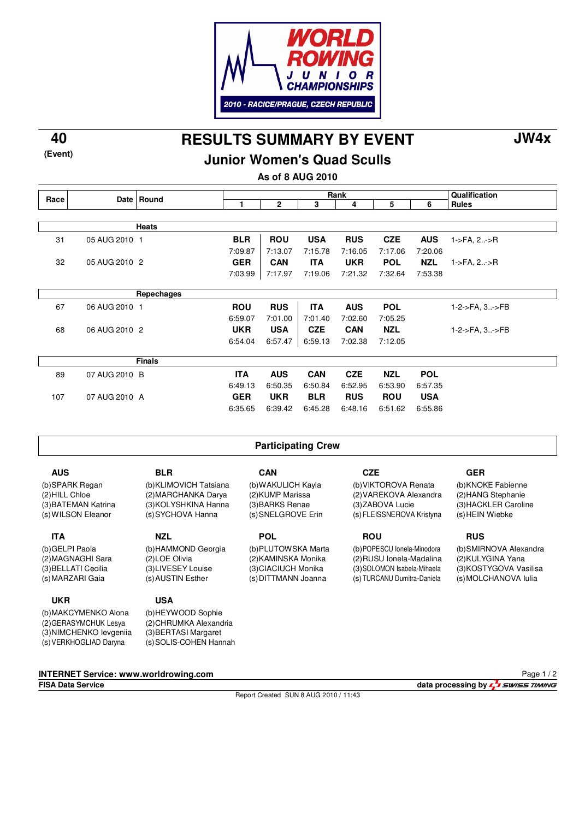

**(Event)**

**RESULTS SUMMARY BY EVENT 40 JW4x**

## **Junior Women's Quad Sculls**

**As of 8 AUG 2010**

|                                              |               |                        | Rank<br>Qualification |                     |                           |                             |                             |                 |                        |  |  |
|----------------------------------------------|---------------|------------------------|-----------------------|---------------------|---------------------------|-----------------------------|-----------------------------|-----------------|------------------------|--|--|
| Race                                         | Date <b>b</b> | Round                  | 1                     | $\mathbf 2$         | 3                         | 4                           | 5                           | 6               | <b>Rules</b>           |  |  |
|                                              |               |                        |                       |                     |                           |                             |                             |                 |                        |  |  |
|                                              | <b>Heats</b>  |                        |                       |                     |                           |                             |                             |                 |                        |  |  |
| 31                                           | 05 AUG 2010 1 |                        | <b>BLR</b>            | <b>ROU</b>          | <b>USA</b>                | <b>RUS</b>                  | <b>CZE</b>                  | <b>AUS</b>      | $1 - 5FA, 2. - 5R$     |  |  |
|                                              |               |                        | 7:09.87               | 7:13.07             | 7:15.78                   | 7:16.05                     | 7:17.06                     | 7:20.06         |                        |  |  |
| 32                                           | 05 AUG 2010 2 |                        | <b>GER</b>            | <b>CAN</b>          | <b>ITA</b>                | <b>UKR</b>                  | <b>POL</b>                  | <b>NZL</b>      | 1->FA, 2->R            |  |  |
|                                              |               |                        | 7:03.99               | 7:17.97             | 7:19.06                   | 7:21.32                     | 7:32.64                     | 7:53.38         |                        |  |  |
|                                              |               |                        |                       |                     |                           |                             |                             |                 |                        |  |  |
|                                              |               | Repechages             |                       |                     |                           |                             |                             |                 |                        |  |  |
| 67                                           | 06 AUG 2010 1 |                        | <b>ROU</b>            | <b>RUS</b>          | <b>ITA</b>                | <b>AUS</b>                  | <b>POL</b>                  |                 | 1-2->FA, 3->FB         |  |  |
|                                              |               |                        | 6:59.07               | 7:01.00             | 7:01.40                   | 7:02.60                     | 7:05.25                     |                 |                        |  |  |
| 68                                           | 06 AUG 2010 2 |                        | <b>UKR</b>            | <b>USA</b>          | <b>CZE</b>                | <b>CAN</b>                  | <b>NZL</b>                  |                 | 1-2->FA, 3->FB         |  |  |
|                                              |               |                        | 6:54.04               | 6:57.47             | 6:59.13                   | 7:02.38                     | 7:12.05                     |                 |                        |  |  |
|                                              |               | <b>Finals</b>          |                       |                     |                           |                             |                             |                 |                        |  |  |
|                                              |               |                        |                       |                     |                           |                             |                             |                 |                        |  |  |
| 89                                           | 07 AUG 2010 B |                        | <b>ITA</b>            | <b>AUS</b>          | <b>CAN</b>                | <b>CZE</b>                  | <b>NZL</b>                  | <b>POL</b>      |                        |  |  |
|                                              |               |                        | 6:49.13               | 6:50.35             | 6:50.84                   | 6:52.95                     | 6:53.90                     | 6:57.35         |                        |  |  |
| 107                                          | 07 AUG 2010 A |                        | <b>GER</b>            | <b>UKR</b>          | <b>BLR</b>                | <b>RUS</b>                  | <b>ROU</b>                  | <b>USA</b>      |                        |  |  |
|                                              |               |                        | 6:35.65               | 6:39.42             | 6:45.28                   | 6:48.16                     | 6:51.62                     | 6:55.86         |                        |  |  |
|                                              |               |                        |                       |                     |                           |                             |                             |                 |                        |  |  |
| <b>Participating Crew</b>                    |               |                        |                       |                     |                           |                             |                             |                 |                        |  |  |
|                                              |               |                        |                       |                     |                           |                             |                             |                 |                        |  |  |
| <b>AUS</b>                                   |               | <b>BLR</b>             |                       | <b>CAN</b>          |                           | <b>CZE</b>                  |                             |                 | <b>GER</b>             |  |  |
| (b)SPARK Regan                               |               | (b)KLIMOVICH Tatsiana  | (b) WAKULICH Kayla    |                     |                           | (b) VIKTOROVA Renata        |                             |                 | (b)KNOKE Fabienne      |  |  |
| (2) HILL Chloe                               |               | (2) MARCHANKA Darya    |                       | (2) KUMP Marissa    |                           | (2) VAREKOVA Alexandra      |                             |                 | (2) HANG Stephanie     |  |  |
| (3) BATEMAN Katrina                          |               | (3) KOLYSHKINA Hanna   |                       | (3) BARKS Renae     |                           | (3) ZABOVA Lucie            |                             |                 | (3) HACKLER Caroline   |  |  |
| (s) WILSON Eleanor                           |               | (s) SYCHOVA Hanna      | (s) SNELGROVE Erin    |                     | (s) FLEISSNEROVA Kristyna |                             |                             | (s) HEIN Wiebke |                        |  |  |
| <b>ITA</b>                                   |               | <b>NZL</b>             |                       | <b>POL</b>          |                           |                             | <b>ROU</b>                  |                 | <b>RUS</b>             |  |  |
| (b) GELPI Paola                              |               | (b)HAMMOND Georgia     |                       | (b)PLUTOWSKA Marta  |                           | (b)POPESCU lonela-Minodora  |                             |                 | (b)SMIRNOVA Alexandra  |  |  |
| (2) MAGNAGHI Sara                            |               | (2) LOE Olivia         |                       | (2) KAMINSKA Monika |                           | (2) RUSU Ionela-Madalina    |                             |                 | (2) KULYGINA Yana      |  |  |
| (3) BELLATI Cecilia                          |               | (3)LIVESEY Louise      |                       | (3) CIACIUCH Monika |                           | (3) SOLOMON Isabela-Mihaela |                             |                 | (3) KOSTYGOVA Vasilisa |  |  |
| (s) MARZARI Gaia                             |               | (s) AUSTIN Esther      |                       | (s) DITTMANN Joanna |                           |                             | (s) TURCANU Dumitra-Daniela |                 | (s) MOLCHANOVA lulia   |  |  |
| <b>UKR</b>                                   |               | <b>USA</b>             |                       |                     |                           |                             |                             |                 |                        |  |  |
|                                              |               | (b)HEYWOOD Sophie      |                       |                     |                           |                             |                             |                 |                        |  |  |
| (b)MAKCYMENKO Alona<br>(2) GERASYMCHUK Lesya |               | (2) CHRUMKA Alexandria |                       |                     |                           |                             |                             |                 |                        |  |  |

**INTERNET Service: www.worldrowing.com**

(3)

(s) SOLIS-COHEN Hannah

BERTASI Margaret

(s) VERKHOGLIAD Daryna

NIMCHENKO Ievgeniia

(3)

Report Created SUN 8 AUG 2010 / 11:43

Page 1 / 2

**FISA Data Service data processing by**  $\frac{1}{2}$  **SWISS TIMING**